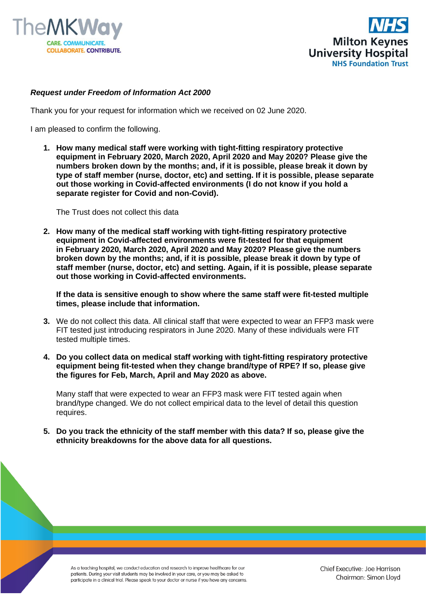



## *Request under Freedom of Information Act 2000*

Thank you for your request for information which we received on 02 June 2020.

I am pleased to confirm the following.

**1. How many medical staff were working with tight-fitting respiratory protective equipment in February 2020, March 2020, April 2020 and May 2020? Please give the numbers broken down by the months; and, if it is possible, please break it down by type of staff member (nurse, doctor, etc) and setting. If it is possible, please separate out those working in Covid-affected environments (I do not know if you hold a separate register for Covid and non-Covid).**

The Trust does not collect this data

**2. How many of the medical staff working with tight-fitting respiratory protective equipment in Covid-affected environments were fit-tested for that equipment in February 2020, March 2020, April 2020 and May 2020? Please give the numbers broken down by the months; and, if it is possible, please break it down by type of staff member (nurse, doctor, etc) and setting. Again, if it is possible, please separate out those working in Covid-affected environments.**

**If the data is sensitive enough to show where the same staff were fit-tested multiple times, please include that information.**

- **3.** We do not collect this data. All clinical staff that were expected to wear an FFP3 mask were FIT tested just introducing respirators in June 2020. Many of these individuals were FIT tested multiple times.
- **4. Do you collect data on medical staff working with tight-fitting respiratory protective equipment being fit-tested when they change brand/type of RPE? If so, please give the figures for Feb, March, April and May 2020 as above.**

Many staff that were expected to wear an FFP3 mask were FIT tested again when brand/type changed. We do not collect empirical data to the level of detail this question requires.

**5. Do you track the ethnicity of the staff member with this data? If so, please give the ethnicity breakdowns for the above data for all questions.**

As a teaching hospital, we conduct education and research to improve healthcare for our patients. During your visit students may be involved in your care, or you may be asked to participate in a clinical trial. Please speak to your doctor or nurse if you have any concerns.